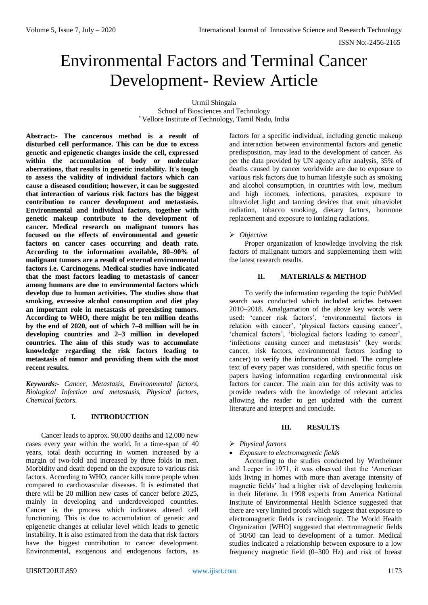# Environmental Factors and Terminal Cancer Development- Review Article

Urmil Shingala School of Biosciences and Technology \* Vellore Institute of Technology, Tamil Nadu, India

**Abstract:- The cancerous method is a result of disturbed cell performance. This can be due to excess genetic and epigenetic changes inside the cell, expressed within the accumulation of body or molecular aberrations, that results in genetic instability. It's tough to assess the validity of individual factors which can cause a diseased condition; however, it can be suggested that interaction of various risk factors has the biggest contribution to cancer development and metastasis. Environmental and individual factors, together with genetic makeup contribute to the development of cancer. Medical research on malignant tumors has focused on the effects of environmental and genetic factors on cancer cases occurring and death rate. According to the information available, 80–90% of malignant tumors are a result of external environmental factors i.e. Carcinogens. Medical studies have indicated that the most factors leading to metastasis of cancer among humans are due to environmental factors which develop due to human activities. The studies show that smoking, excessive alcohol consumption and diet play an important role in metastasis of preexisting tumors. According to WHO, there might be ten million deaths by the end of 2020, out of which 7–8 million will be in developing countries and 2–3 million in developed countries. The aim of this study was to accumulate knowledge regarding the risk factors leading to metastasis of tumor and providing them with the most recent results.** 

*Keywords:- Cancer, Metastasis, Environmental factors, Biological Infection and metastasis, Physical factors, Chemical factors.*

# **I. INTRODUCTION**

Cancer leads to approx. 90,000 deaths and 12,000 new cases every year within the world. In a time-span of 40 years, total death occurring in women increased by a margin of two-fold and increased by three folds in men. Morbidity and death depend on the exposure to various risk factors. According to WHO, cancer kills more people when compared to cardiovascular diseases. It is estimated that there will be 20 million new cases of cancer before 2025, mainly in developing and underdeveloped countries. Cancer is the process which indicates altered cell functioning. This is due to accumulation of genetic and epigenetic changes at cellular level which leads to genetic instability. It is also estimated from the data that risk factors have the biggest contribution to cancer development. Environmental, exogenous and endogenous factors, as

factors for a specific individual, including genetic makeup and interaction between environmental factors and genetic predisposition, may lead to the development of cancer. As per the data provided by UN agency after analysis, 35% of deaths caused by cancer worldwide are due to exposure to various risk factors due to human lifestyle such as smoking and alcohol consumption, in countries with low, medium and high incomes, infections, parasites, exposure to ultraviolet light and tanning devices that emit ultraviolet radiation, tobacco smoking, dietary factors, hormone replacement and exposure to ionizing radiations.

# *Objective*

Proper organization of knowledge involving the risk factors of malignant tumors and supplementing them with the latest research results.

# **II. MATERIALS & METHOD**

To verify the information regarding the topic PubMed search was conducted which included articles between 2010–2018. Amalgamation of the above key words were used: 'cancer risk factors', 'environmental factors in relation with cancer', 'physical factors causing cancer', 'chemical factors', 'biological factors leading to cancer', 'infections causing cancer and metastasis' (key words: cancer, risk factors, environmental factors leading to cancer) to verify the information obtained. The complete text of every paper was considered, with specific focus on papers having information regarding environmental risk factors for cancer. The main aim for this activity was to provide readers with the knowledge of relevant articles allowing the reader to get updated with the current literature and interpret and conclude.

### **III. RESULTS**

# *Physical factors*

# *Exposure to electromagnetic fields*

According to the studies conducted by Wertheimer and Leeper in 1971, it was observed that the 'American kids living in homes with more than average intensity of magnetic fields' had a higher risk of developing leukemia in their lifetime. In 1998 experts from America National Institute of Environmental Health Science suggested that there are very limited proofs which suggest that exposure to electromagnetic fields is carcinogenic. The World Health Organization [WHO] suggested that electromagnetic fields of 50/60 can lead to development of a tumor. Medical studies indicated a relationship between exposure to a low frequency magnetic field (0–300 Hz) and risk of breast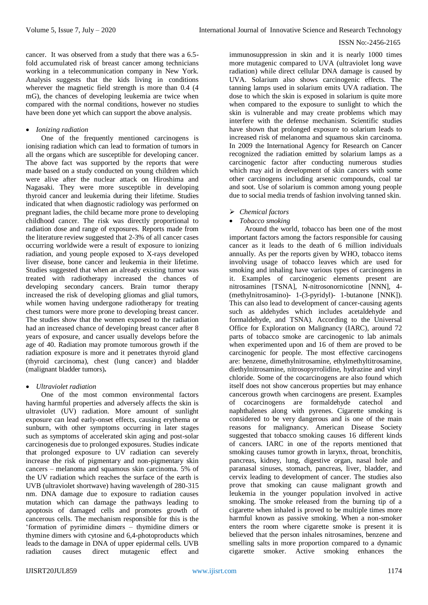cancer. It was observed from a study that there was a 6.5 fold accumulated risk of breast cancer among technicians working in a telecommunication company in New York. Analysis suggests that the kids living in conditions wherever the magnetic field strength is more than 0.4 (4 mG), the chances of developing leukemia are twice when compared with the normal conditions, however no studies have been done yet which can support the above analysis.

# *Ionizing radiation*

One of the frequently mentioned carcinogens is ionising radiation which can lead to formation of tumors in all the organs which are susceptible for developing cancer. The above fact was supported by the reports that were made based on a study conducted on young children which were alive after the nuclear attack on Hiroshima and Nagasaki. They were more susceptible in developing thyroid cancer and leukemia during their lifetime. Studies indicated that when diagnostic radiology was performed on pregnant ladies, the child became more prone to developing childhood cancer. The risk was directly proportional to radiation dose and range of exposures. Reports made from the literature review suggested that 2-3% of all cancer cases occurring worldwide were a result of exposure to ionizing radiation, and young people exposed to X-rays developed liver disease, bone cancer and leukemia in their lifetime. Studies suggested that when an already existing tumor was treated with radiotherapy increased the chances of developing secondary cancers. Brain tumor therapy increased the risk of developing gliomas and glial tumors, while women having undergone radiotherapy for treating chest tumors were more prone to developing breast cancer. The studies show that the women exposed to the radiation had an increased chance of developing breast cancer after 8 years of exposure, and cancer usually develops before the age of 40. Radiation may promote tumorous growth if the radiation exposure is more and it penetrates thyroid gland (thyroid carcinoma), chest (lung cancer) and bladder (malignant bladder tumors)**.**

#### *Ultraviolet radiation*

One of the most common environmental factors having harmful properties and adversely affects the skin is ultraviolet (UV) radiation. More amount of sunlight exposure can lead early-onset effects, causing erythema or sunburn, with other symptoms occurring in later stages such as symptoms of accelerated skin aging and post-solar carcinogenesis due to prolonged exposures. Studies indicate that prolonged exposure to UV radiation can severely increase the risk of pigmentary and non-pigmentary skin cancers – melanoma and squamous skin carcinoma. 5% of the UV radiation which reaches the surface of the earth is UVB (ultraviolet shortwave) having wavelength of 280-315 nm. DNA damage due to exposure to radiation causes mutation which can damage the pathways leading to apoptosis of damaged cells and promotes growth of cancerous cells. The mechanism responsible for this is the 'formation of pyrimidine dimers – thymidine dimers or thymine dimers with cytosine and 6,4-photoproducts which leads to the damage in DNA of upper epidermal cells. UVB radiation causes direct mutagenic effect and

immunosuppression in skin and it is nearly 1000 times more mutagenic compared to UVA (ultraviolet long wave radiation) while direct cellular DNA damage is caused by UVA. Solarium also shows carcinogenic effects. The tanning lamps used in solarium emits UVA radiation. The dose to which the skin is exposed in solarium is quite more when compared to the exposure to sunlight to which the skin is vulnerable and may create problems which may interfere with the defense mechanism. Scientific studies have shown that prolonged exposure to solarium leads to increased risk of melanoma and squamous skin carcinoma. In 2009 the International Agency for Research on Cancer recognized the radiation emitted by solarium lamps as a carcinogenic factor after conducting numerous studies which may aid in development of skin cancers with some other carcinogens including arsenic compounds, coal tar and soot. Use of solarium is common among young people due to social media trends of fashion involving tanned skin.

# *Chemical factors*

# *Tobacco smoking*

Around the world, tobacco has been one of the most important factors among the factors responsible for causing cancer as it leads to the death of 6 million individuals annually. As per the reports given by WHO, tobacco items involving usage of tobacco leaves which are used for smoking and inhaling have various types of carcinogens in it. Examples of carcinogenic elements present are nitrosamines [TSNA], N-nitrosonornicotine [NNN], 4- (methylnitrosamino)- 1-(3-pyridyl)- 1-butanone [NNK]). This can also lead to development of cancer-causing agents such as aldehydes which includes acetaldehyde and formaldehyde, and TSNA). According to the Universal Office for Exploration on Malignancy (IARC), around 72 parts of tobacco smoke are carcinogenic to lab animals when experimented upon and 16 of them are proved to be carcinogenic for people. The most effective carcinogens are: benzene, dimethylnitrosamine, ethylmethyltitrosamine, diethylnitrosamine, nitrosopyrrolidine, hydrazine and vinyl chloride. Some of the cocarcinogens are also found which itself does not show cancerous properties but may enhance cancerous growth when carcinogens are present. Examples of cocarcinogens are formaldehyde catechol and naphthalenes along with pyrenes. Cigarette smoking is considered to be very dangerous and is one of the main reasons for malignancy. American Disease Society suggested that tobacco smoking causes 16 different kinds of cancers. IARC in one of the reports mentioned that smoking causes tumor growth in larynx, throat, bronchitis, pancreas, kidney, lung, digestive organ, nasal hole and paranasal sinuses, stomach, pancreas, liver, bladder, and cervix leading to development of cancer. The studies also prove that smoking can cause malignant growth and leukemia in the younger population involved in active smoking. The smoke released from the burning tip of a cigarette when inhaled is proved to be multiple times more harmful known as passive smoking. When a non-smoker enters the room where cigarette smoke is present it is believed that the person inhales nitrosamines, benzene and smelling salts in more proportion compared to a dynamic cigarette smoker. Active smoking enhances the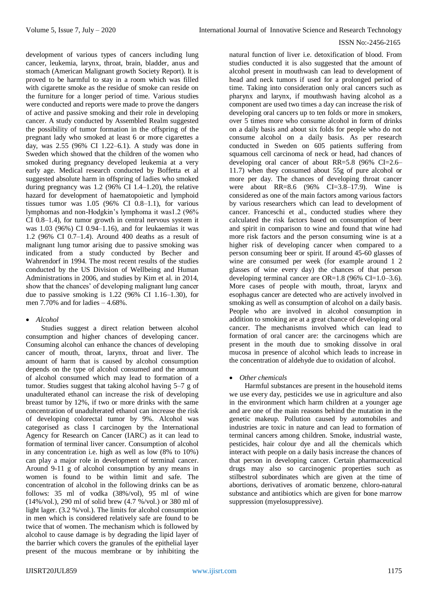development of various types of cancers including lung cancer, leukemia, larynx, throat, brain, bladder, anus and stomach (American Malignant growth Society Report). It is proved to be harmful to stay in a room which was filled with cigarette smoke as the residue of smoke can reside on the furniture for a longer period of time. Various studies were conducted and reports were made to prove the dangers of active and passive smoking and their role in developing cancer. A study conducted by Assembled Realm suggested the possibility of tumor formation in the offspring of the pregnant lady who smoked at least 6 or more cigarettes a day, was 2.55 (96% CI 1.22–6.1). A study was done in Sweden which showed that the children of the women who smoked during pregnancy developed leukemia at a very early age. Medical research conducted by Boffetta et al suggested absolute harm in offspring of ladies who smoked during pregnancy was  $1.2$  (96% CI 1.4–1.20), the relative hazard for development of haematopoietic and lymphoid tissues tumor was  $1.05$  (96% CI 0.8–1.1), for various lymphomas and non-Hodgkin's lymphoma it was1.2 (96% CI 0.8–1.4), for tumor growth in central nervous system it was 1.03 (96%) CI 0.94–1.16), and for leukaemias it was 1.2 (96% CI 0.7–1.4). Around 400 deaths as a result of malignant lung tumor arising due to passive smoking was indicated from a study conducted by Becher and Wahrendorf in 1994. The most recent results of the studies conducted by the US Division of Wellbeing and Human Administrations in 2006, and studies by Kim et al. in 2014, show that the chances' of developing malignant lung cancer due to passive smoking is  $1.22$  (96% CI 1.16–1.30), for men  $7.70\%$  and for ladies  $-4.68\%$ .

#### *Alcohol*

Studies suggest a direct relation between alcohol consumption and higher chances of developing cancer. Consuming alcohol can enhance the chances of developing cancer of mouth, throat, larynx, throat and liver. The amount of harm that is caused by alcohol consumption depends on the type of alcohol consumed and the amount of alcohol consumed which may lead to formation of a tumor. Studies suggest that taking alcohol having 5–7 g of unadulterated ethanol can increase the risk of developing breast tumor by 12%, if two or more drinks with the same concentration of unadulterated ethanol can increase the risk of developing colorectal tumor by 9%. Alcohol was categorised as class I carcinogen by the International Agency for Research on Cancer (IARC) as it can lead to formation of terminal liver cancer. Consumption of alcohol in any concentration i.e. high as well as low (8% to 10%) can play a major role in development of terminal cancer. Around 9-11 g of alcohol consumption by any means in women is found to be within limit and safe. The concentration of alcohol in the following drinks can be as follows: 35 ml of vodka (38%/vol), 95 ml of wine (14%/vol.), 290 ml of solid brew (4.7 %/vol.) or 380 ml of light lager. (3.2 %/vol.). The limits for alcohol consumption in men which is considered relatively safe are found to be twice that of women. The mechanism which is followed by alcohol to cause damage is by degrading the lipid layer of the barrier which covers the granules of the epithelial layer present of the mucous membrane or by inhibiting the

natural function of liver i.e. detoxification of blood. From studies conducted it is also suggested that the amount of alcohol present in mouthwash can lead to development of head and neck tumors if used for a prolonged period of time. Taking into consideration only oral cancers such as pharynx and larynx, if mouthwash having alcohol as a component are used two times a day can increase the risk of developing oral cancers up to ten folds or more in smokers, over 5 times more who consume alcohol in form of drinks on a daily basis and about six folds for people who do not consume alcohol on a daily basis. As per research conducted in Sweden on 605 patients suffering from squamous cell carcinoma of neck or head, had chances of developing oral cancer of about RR=5.8 (96% CI=2.6– 11.7) when they consumed about 55g of pure alcohol or more per day. The chances of developing throat cancer were about RR=8.6 (96% CI=3.8–17.9). Wine is considered as one of the main factors among various factors by various researchers which can lead to development of cancer. Franceschi et al., conducted studies where they calculated the risk factors based on consumption of beer and spirit in comparison to wine and found that wine had more risk factors and the person consuming wine is at a higher risk of developing cancer when compared to a person consuming beer or spirit. If around 45-60 glasses of wine are consumed per week (for example around 1 2 glasses of wine every day) the chances of that person developing terminal cancer are OR=1.8 (96% CI=1.0–3.6). More cases of people with mouth, throat, larynx and esophagus cancer are detected who are actively involved in smoking as well as consumption of alcohol on a daily basis. People who are involved in alcohol consumption in addition to smoking are at a great chance of developing oral cancer. The mechanisms involved which can lead to formation of oral cancer are: the carcinogens which are present in the mouth due to smoking dissolve in oral mucosa in presence of alcohol which leads to increase in the concentration of aldehyde due to oxidation of alcohol.

# *Other chemicals*

Harmful substances are present in the household items we use every day, pesticides we use in agriculture and also in the environment which harm children at a younger age and are one of the main reasons behind the mutation in the genetic makeup. Pollution caused by automobiles and industries are toxic in nature and can lead to formation of terminal cancers among children. Smoke, industrial waste, pesticides, hair colour dye and all the chemicals which interact with people on a daily basis increase the chances of that person in developing cancer. Certain pharmaceutical drugs may also so carcinogenic properties such as stilbestrol subordinates which are given at the time of abortions, derivatives of aromatic benzene, chloro-natural substance and antibiotics which are given for bone marrow suppression (myelosuppressive).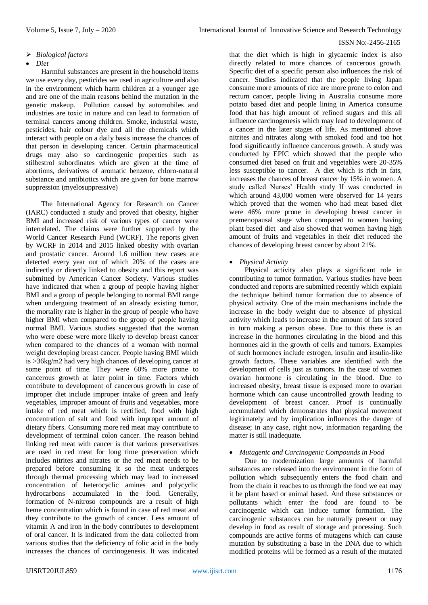# *Biological factors*

### *Diet*

Harmful substances are present in the household items we use every day, pesticides we used in agriculture and also in the environment which harm children at a younger age and are one of the main reasons behind the mutation in the genetic makeup. Pollution caused by automobiles and industries are toxic in nature and can lead to formation of terminal cancers among children. Smoke, industrial waste, pesticides, hair colour dye and all the chemicals which interact with people on a daily basis increase the chances of that person in developing cancer. Certain pharmaceutical drugs may also so carcinogenic properties such as stilbestrol subordinates which are given at the time of abortions, derivatives of aromatic benzene, chloro-natural substance and antibiotics which are given for bone marrow suppression (myelosuppressive)

The International Agency for Research on Cancer (IARC) conducted a study and proved that obesity, higher BMI and increased risk of various types of cancer were interrelated. The claims were further supported by the World Cancer Research Fund (WCRF). The reports given by WCRF in 2014 and 2015 linked obesity with ovarian and prostatic cancer. Around 1.6 million new cases are detected every year out of which 20% of the cases are indirectly or directly linked to obesity and this report was submitted by American Cancer Society. Various studies have indicated that when a group of people having higher BMI and a group of people belonging to normal BMI range when undergoing treatment of an already existing tumor, the mortality rate is higher in the group of people who have higher BMI when compared to the group of people having normal BMI. Various studies suggested that the woman who were obese were more likely to develop breast cancer when compared to the chances of a woman with normal weight developing breast cancer. People having BMI which is >36kg/m2 had very high chances of developing cancer at some point of time. They were 60% more prone to cancerous growth at later point in time. Factors which contribute to development of cancerous growth in case of improper diet include improper intake of green and leafy vegetables, improper amount of fruits and vegetables, more intake of red meat which is rectified, food with high concentration of salt and food with improper amount of dietary fibers. Consuming more red meat may contribute to development of terminal colon cancer. The reason behind linking red meat with cancer is that various preservatives are used in red meat for long time preservation which includes nitrites and nitrates or the red meat needs to be prepared before consuming it so the meat undergoes through thermal processing which may lead to increased concentration of heterocyclic amines and polycyclic hydrocarbons accumulated in the food. Generally, formation of N-nitroso compounds are a result of high heme concentration which is found in case of red meat and they contribute to the growth of cancer. Less amount of vitamin A and iron in the body contributes to development of oral cancer. It is indicated from the data collected from various studies that the deficiency of folic acid in the body increases the chances of carcinogenesis. It was indicated

that the diet which is high in glycaemic index is also directly related to more chances of cancerous growth. Specific diet of a specific person also influences the risk of cancer. Studies indicated that the people living Japan consume more amounts of rice are more prone to colon and rectum cancer, people living in Australia consume more potato based diet and people lining in America consume food that has high amount of refined sugars and this all influence carcinogenesis which may lead to development of a cancer in the later stages of life. As mentioned above nitrites and nitrates along with smoked food and too hot food significantly influence cancerous growth. A study was conducted by EPIC which showed that the people who consumed diet based on fruit and vegetables were 20-35% less susceptible to cancer. A diet which is rich in fats, increases the chances of breast cancer by 15% in women. A study called Nurses' Health study II was conducted in which around 43,000 women were observed for 14 years which proved that the women who had meat based diet were 46% more prone in developing breast cancer in premenopausal stage when compared to women having plant based diet and also showed that women having high amount of fruits and vegetables in their diet reduced the chances of developing breast cancer by about 21%.

# *Physical Activity*

Physical activity also plays a significant role in contributing to tumor formation. Various studies have been conducted and reports are submitted recently which explain the technique behind tumor formation due to absence of physical activity. One of the main mechanisms include the increase in the body weight due to absence of physical activity which leads to increase in the amount of fats stored in turn making a person obese. Due to this there is an increase in the hormones circulating in the blood and this hormones aid in the growth of cells and tumors. Examples of such hormones include estrogen, insulin and insulin-like growth factors. These variables are identified with the development of cells just as tumors. In the case of women ovarian hormone is circulating in the blood. Due to increased obesity, breast tissue is exposed more to ovarian hormone which can cause uncontrolled growth leading to development of breast cancer. Proof is continually accumulated which demonstrates that physical movement legitimately and by implication influences the danger of disease; in any case, right now, information regarding the matter is still inadequate.

## *Mutagenic and Carcinogenic Compounds in Food*

Due to modernization large amounts of harmful substances are released into the environment in the form of pollution which subsequently enters the food chain and from the chain it reaches to us through the food we eat may it be plant based or animal based. And these substances or pollutants which enter the food are found to be carcinogenic which can induce tumor formation. The carcinogenic substances can be naturally present or may develop in food as result of storage and processing. Such compounds are active forms of mutagens which can cause mutation by substituting a base in the DNA due to which modified proteins will be formed as a result of the mutated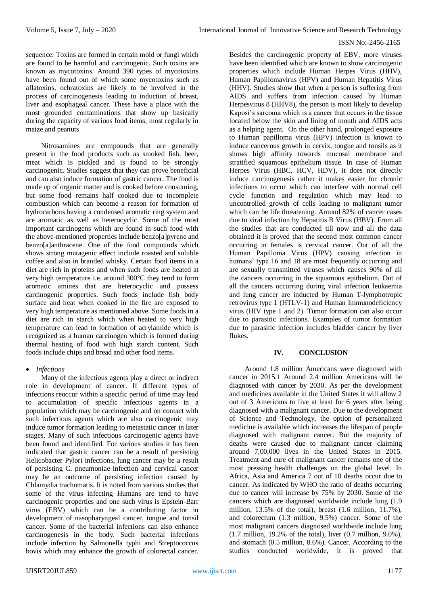sequence. Toxins are formed in certain mold or fungi which are found to be harmful and carcinogenic. Such toxins are known as mycotoxins. Around 390 types of mycotoxins have been found out of which some mycotoxins such as aflatoxins, ochratoxins are likely to be involved in the process of carcinogenesis leading to induction of breast, liver and esophageal cancer. These have a place with the most grounded contaminations that show up basically during the capacity of various food items, most regularly in maize and peanuts

Nitrosamines are compounds that are generally present in the food products such as smoked fish, beer, meat which is pickled and is found to be strongly carcinogenic. Studies suggest that they can prove beneficial and can also induce formation of gastric cancer. The food is made up of organic matter and is cooked before consuming, but some food remains half cooked due to incomplete combustion which can become a reason for formation of hydrocarbons having a condensed aromatic ring system and are aromatic as well as heterocyclic. Some of the most important carcinogens which are found in such food with the above-mentioned properties include benzo[a]pyrene and benzo[a]anthracene. One of the food compounds which shows strong mutagenic effect include roasted and soluble coffee and also in branded whisky. Certain food items in a diet are rich in proteins and when such foods are heated at very high temperature i.e. around 300°C they tend to form aromatic amines that are heterocyclic and possess carcinogenic properties. Such foods include fish body surface and heat when cooked in the fire are exposed to very high temperature as mentioned above. Some foods in a diet are rich in starch which when heated to very high temperature can lead to formation of acrylamide which is recognized as a human carcinogen which is formed during thermal heating of food with high starch content. Such foods include chips and bread and other food items.

# *Infections*

Many of the infectious agents play a direct or indirect role in development of cancer. If different types of infections reoccur within a specific period of time may lead to accumulation of specific infectious agents in a population which may be carcinogenic and on contact with such infectious agents which are also carcinogenic may induce tumor formation leading to metastatic cancer in later stages. Many of such infectious carcinogenic agents have been found and identified. For various studies it has been indicated that gastric cancer can be a result of persisting Helicobacter Pylori infections, lung cancer may be a result of persisting C. pneumoniae infection and cervical cancer may be an outcome of persisting infection caused by Chlamydia trachomatis. It is noted from various studies that some of the virus infecting Humans are tend to have carcinogenic properties and one such virus is Epstein-Barr virus (EBV) which can be a contributing factor in development of nasopharyngeal cancer, tongue and tonsil cancer. Some of the bacterial infections can also enhance carcinogenesis in the body. Such bacterial infections include infection by Salmonella typhi and Streptococcus bovis which may enhance the growth of colorectal cancer.

Besides the carcinogenic property of EBV, more viruses have been identified which are known to show carcinogenic properties which include Human Herpes Virus (HHV), Human Papillomavirus (HPV) and Human Hepatitis Virus (HHV). Studies show that when a person is suffering from AIDS and suffers from infection caused by Human Herpesvirus 8 (HHV8), the person is most likely to develop Kaposi's sarcoma which is a cancer that occurs in the tissue located below the skin and lining of mouth and AIDS acts as a helping agent. On the other hand, prolonged exposure to Human papilloma virus (HPV) infection is known to induce cancerous growth in cervix, tongue and tonsils as it shows high affinity towards mucosal membrane and stratified squamous epithelium tissue. In case of Human Herpes Virus (HBC, HCV, HDV), it does not directly induce carcinogenesis rather it makes easier for chronic infections to occur which can interfere with normal cell cycle function and regulation which may lead to uncontrolled growth of cells leading to malignant tumor which can be life threatening. Around 82% of cancer cases due to viral infection by Hepatitis B Virus (HBV). From all the studies that are conducted till now and all the data obtained it is proved that the second most common cancer occurring in females is cervical cancer. Out of all the Human Papilloma Virus (HPV) causing infection in humans' type 16 and 18 are most frequently occurring and are sexually transmitted viruses which causes 90% of all the cancers occurring in the squamous epithelium. Out of all the cancers occurring during viral infection leukaemia and lung cancer are inducted by Human T-lymphotropic retrovirus type 1 (HTLV-1) and Human Immunodeficiency virus (HIV type 1 and 2). Tumor formation can also occur due to parasitic infections. Examples of tumor formation due to parasitic infection includes bladder cancer by liver flukes.

# **IV. CONCLUSION**

Around 1.8 million Americans were diagnosed with cancer in 2015.1 Around 2.4 million Americans will be diagnosed with cancer by 2030. As per the development and medicines available in the United States it will allow 2 out of 3 Americans to live at least for 6 years after being diagnosed with a malignant cancer. Due to the development of Science and Technology, the option of personalized medicine is available which increases the lifespan of people diagnosed with malignant cancer. But the majority of deaths were caused due to malignant cancer claiming around 7,00,000 lives in the United States in 2015. Treatment and cure of malignant cancer remains one of the most pressing health challenges on the global level. In Africa, Asia and America 7 out of 10 deaths occur due to cancer. As indicated by WHO the ratio of deaths occurring due to cancer will increase by 75% by 2030. Some of the cancers which are diagnosed worldwide include lung (1.9 million, 13.5% of the total), breast (1.6 million, 11.7%), and colorectum (1.3 million, 9.5%) cancer. Some of the most malignant cancers diagnosed worldwide include lung (1.7 million, 19.2% of the total), liver (0.7 million, 9.0%), and stomach (0.5 million, 8.6%). Cancer. According to the studies conducted worldwide, it is proved that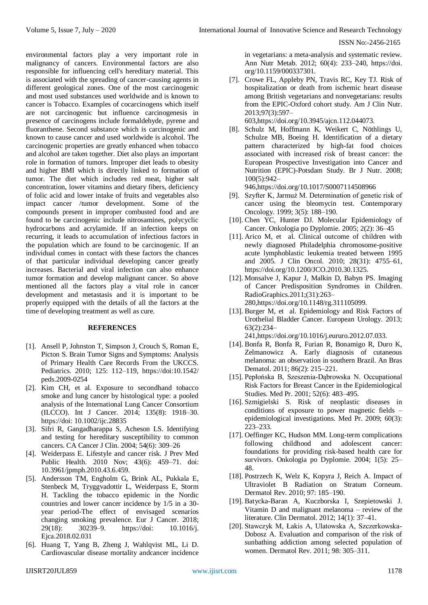environmental factors play a very important role in malignancy of cancers. Environmental factors are also responsible for influencing cell's hereditary material. This is associated with the spreading of cancer-causing agents in different geological zones. One of the most carcinogenic and most used substances used worldwide and is known to cancer is Tobacco. Examples of cocarcinogens which itself are not carcinogenic but influence carcinogenesis in presence of carcinogens include formaldehyde, pyrene and fluoranthene. Second substance which is carcinogenic and known to cause cancer and used worldwide is alcohol. The carcinogenic properties are greatly enhanced when tobacco and alcohol are taken together. Diet also plays an important role in formation of tumors. Improper diet leads to obesity and higher BMI which is directly linked to formation of tumor. The diet which includes red meat, higher salt concentration, lower vitamins and dietary fibers, deficiency of folic acid and lower intake of fruits and vegetables also impact cancer /tumor development. Some of the compounds present in improper combusted food and are found to be carcinogenic include nitrosamines, polycyclic hydrocarbons and acrylamide. If an infection keeps on recurring, it leads to accumulation of infectious factors in the population which are found to be carcinogenic. If an individual comes in contact with these factors the chances of that particular individual developing cancer greatly increases. Bacterial and viral infection can also enhance tumor formation and develop malignant cancer. So above mentioned all the factors play a vital role in cancer development and metastasis and it is important to be properly equipped with the details of all the factors at the time of developing treatment as well as cure.

# **REFERENCES**

- [1]. Ansell P, Johnston T, Simpson J, Crouch S, Roman E, Picton S. Brain Tumor Signs and Symptoms: Analysis of Primary Health Care Records From the UKCCS. Pediatrics. 2010; 125: 112–119, https://doi:10.1542/ peds.2009-0254
- [2]. Kim CH, et al. Exposure to secondhand tobacco smoke and lung cancer by histological type: a pooled analysis of the International Lung Cancer Consortium (ILCCO). Int J Cancer. 2014; 135(8): 1918–30. https://doi: 10.1002/ijc.28835
- [3]. Sifri R, Gangadharappa S, Acheson LS. Identifying and testing for hereditary susceptibility to common cancers. CA Cancer J Clin. 2004; 54(6): 309–26
- [4]. Weiderpass E. Lifestyle and cancer risk. J Prev Med Public Health. 2010 Nov; 43(6): 459–71. doi: 10.3961/jpmph.2010.43.6.459.
- [5]. Andersson TM, Engholm G, Brink AL, Pukkala E, Stenbeck M, Tryggvadottir L, Weiderpass E, Storm H. Tackling the tobacco epidemic in the Nordic countries and lower cancer incidence by 1/5 in a 30 year period-The effect of envisaged scenarios changing smoking prevalence. Eur J Cancer. 2018; 29(18): 30239–9. https://doi: 10.1016/j. Ejca.2018.02.031
- [6]. Huang T, Yang B, Zheng J, Wahlqvist ML, Li D. Cardiovascular disease mortality andcancer incidence

in vegetarians: a meta-analysis and systematic review. Ann Nutr Metab. 2012; 60(4): 233–240, https://doi. org/10.1159/000337301.

[7]. Crowe FL, Appleby PN, Travis RC, Key TJ. Risk of hospitalization or death from ischemic heart disease among British vegetarians and nonvegetarians: results from the EPIC-Oxford cohort study. Am J Clin Nutr. 2013;97(3):597–

603,https://doi.org/10.3945/ajcn.112.044073.

[8]. Schulz M, Hoffmann K, Weikert C, Nöthlings U, Schulze MB, Boeing H. Identification of a dietary pattern characterized by high-fat food choices associated with increased risk of breast cancer: the European Prospective Investigation into Cancer and Nutrition (EPIC)-Potsdam Study. Br J Nutr. 2008; 100(5):942–

946,https://doi.org/10.1017/S0007114508966

- [9]. Szyfter K, Jarmuż M. Determination of genetic risk of cancer using the bleomycin test. Contemporary Oncology. 1999; 3(5): 188–190.
- [10]. Chen YC, Hunter DJ. Molecular Epidemiology of Cancer. Onkologia po Dyplomie. 2005; 2(2): 36–45
- [11]. Arico M, et al. Clinical outcome of children with newly diagnosed Philadelphia chromosome-positive acute lymphoblastic leukemia treated between 1995 and 2005. J Clin Oncol. 2010; 28(31): 4755–61, https://doi.org/10.1200/JCO.2010.30.1325.
- [12]. Monsalve J, Kapur J, Malkin D, Babyn PS. Imaging of Cancer Predisposition Syndromes in Children. RadioGraphics.2011;(31):263– 280,https://doi.org/10.1148/rg.311105099.
- [13]. Burger M, et al. Epidemiology and Risk Factors of Urothelial Bladder Cancer. European Urology. 2013; 63(2):234–

241,https://doi.org/10.1016/j.eururo.2012.07.033.

- [14]. Bonfa R, Bonfa R, Furian R, Bonamigo R, Duro K, Zelmanowicz A. Early diagnosis of cutaneous melanoma: an observation in southern Brazil. An Bras Dematol. 2011; 86(2): 215–221.
- [15]. Pepłońska B, Szeszenia-Dąbrowska N. Occupational Risk Factors for Breast Cancer in the Epidemiological Studies. Med Pr. 2001; 52(6): 483–495.
- [16]. Szmigielski S. Risk of neoplastic diseases in conditions of exposure to power magnetic fields – epidemiological investigations. Med Pr. 2009; 60(3): 223–233.
- [17]. Oeffinger KC, Hudson MM. Long-term complications following childhood and adolescent cancer: foundations for providing risk-based health care for survivors. Onkologia po Dyplomie. 2004; 1(5): 25– 48.
- [18]. Postrzech K, Welz K, Kopyra J, Reich A. Impact of Ultraviolet B Radiation on Stratum Corneum. Dermatol Rev. 2010; 97: 185–190.
- [19]. Batycka-Baran A, Kuczborska I, Szepietowski J. Vitamin D and malignant melanoma – review of the literature. Clin Dermatol. 2012; 14(1): 37–41.
- [20]. Stawczyk M, Łakis A, Ulatowska A, Szczerkowska-Dobosz A. Evaluation and comparison of the risk of sunbathing addiction among selected population of women. Dermatol Rev. 2011; 98: 305–311.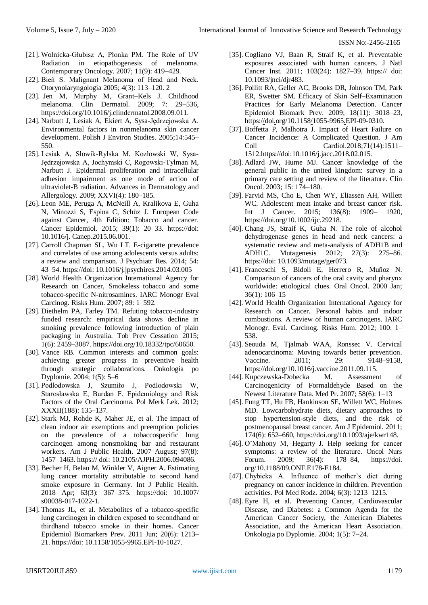- [21]. Wolnicka-Głubisz A, Płonka PM. The Role of UV Radiation in etiopathogenesis of melanoma. Contemporary Oncology. 2007; 11(9): 419–429.
- [22]. Bień S. Malignant Melanoma of Head and Neck. Otorynolaryngologia 2005; 4(3): 113–120. 2
- [23]. Jen M, Murphy M, Grant–Kels J. Childhood melanoma. Clin Dermatol. 2009; 7: 29–536, https://doi.org/10.1016/j.clindermatol.2008.09.011.
- [24]. Narbutt J, Lesiak A, Ekiert A, Sysa-Jędrzejowska A. Environmental factors in nonmelanoma skin cancer development. Polish J Environ Studies. 2005;14:545– 550.
- [25]. Lesiak A, Słowik-Rylska M, Kozłowski W, Sysa-Jędrzejowska A, Jochymski C, Rogowski-Tylman M, Narbutt J. Epidermal proliferation and intracellular adhesion impairment as one mode of action of ultraviolet-B radiation. Advances in Dermatology and Allergology. 2009; XXVI(4): 180–185.
- [26]. Leon ME, Peruga A, McNeill A, Kralikova E, Guha N, Minozzi S, Espina C, Schüz J. European Code against Cancer, 4th Edition: Tobacco and cancer. Cancer Epidemiol. 2015; 39(1): 20–33. https://doi: 10.1016/j. Canep.2015.06.001.
- [27]. Carroll Chapman SL, Wu LT. E-cigarette prevalence and correlates of use among adolescents versus adults: a review and comparison. J Psychiatr Res. 2014; 54: 43–54. https://doi: 10.1016/j.jpsychires.2014.03.005
- [28]. World Health Organization International Agency for Research on Cancer, Smokeless tobacco and some tobacco-specific N-nitrosamines. IARC Monogr Eval Carcinog. Risks Hum. 2007; 89: 1–592.
- [29]. Diethelm PA, Farley TM. Refuting tobacco-industry funded research: empirical data shows decline in smoking prevalence following introduction of plain packaging in Australia. Tob Prev Cessation 2015; 1(6): 2459–3087. https://doi.org/10.18332/tpc/60650.
- [30]. Vance RB. Common interests and common goals: achieving greater progress in preventive health through strategic collaborations. Onkologia po Dyplomie. 2004; 1(5): 5–6
- [31]. Podlodowska J, Szumiło J, Podlodowski W, Starosławska E, Burdan F. Epidemiology and Risk Factors of the Oral Carcinoma. Pol Merk Lek. 2012; XXXII(188): 135–137.
- [32]. Stark MJ, Rohde K, Maher JE, et al. The impact of clean indoor air exemptions and preemption policies on the prevalence of a tobaccospecific lung carcinogen among nonsmoking bar and restaurant workers. Am J Public Health. 2007 August; 97(8): 1457–1463. https:// doi: 10.2105/AJPH.2006.094086.
- [33]. Becher H, Belau M, Winkler V, Aigner A. Estimating lung cancer mortality attributable to second hand smoke exposure in Germany. Int J Public Health. 2018 Apr; 63(3): 367–375. https://doi: 10.1007/ s00038-017-1022-1.
- [34]. Thomas JL, et al. Metabolites of a tobacco-specific lung carcinogen in children exposed to secondhand or thirdhand tobacco smoke in their homes. Cancer Epidemiol Biomarkers Prev. 2011 Jun; 20(6): 1213– 21. https://doi: 10.1158/1055-9965.EPI-10-1027.
- [35]. Cogliano VJ, Baan R, Straif K, et al. Preventable exposures associated with human cancers. J Natl Cancer Inst. 2011; 103(24): 1827–39. https:// doi: 10.1093/jnci/djr483.
- [36]. Pollitt RA, Geller AC, Brooks DR, Johnson TM, Park ER, Swetter SM. Efficacy of Skin Self–Examination Practices for Early Melanoma Detection. Cancer Epidemiol Biomark Prev. 2009; 18(11): 3018–23, https:[//d](https://doi.org/10.1158/1055-9965.EPI-09-0310)o[i.o](https://doi.org/10.1158/1055-9965.EPI-09-0310)rg/10.115[8/1](https://doi.org/10.1158/1055-9965.EPI-09-0310)055-996[5.E](https://doi.org/10.1158/1055-9965.EPI-09-0310)PI-09-0310.
- [37]. Boffetta P, Malhotra J. Impact of Heart Failure on Cancer Incidence: A Complicated Question. J Am Coll Cardiol.2018;71(14):1511– 1512.https://doi:10.1016/j.jacc.2018.02.015.
- [38]. Adlard JW, Hume MJ. Cancer knowledge of the general public in the united kingdom: survey in a primary care setting and review of the literature. Clin Oncol. 2003; 15: 174–180.
- [39]. Farvid MS, Cho E, Chen WY, Eliassen AH, Willett WC. Adolescent meat intake and breast cancer risk. Int J Cancer. 2015; 136(8): 1909– 1920, https://doi.org/10.1002/ijc.29218.
- [40]. Chang JS, Straif K, Guha N. The role of alcohol dehydrogenase genes in head and neck cancers: a systematic review and meta-analysis of ADH1B and ADH1C. Mutagenesis 2012; 27(3): 275–86. https://doi: 10.1093/mutage/ger073.
- [41]. Franceschi S, Bidoli E, Herrero R, Muñoz N. Comparison of cancers of the oral cavity and pharynx worldwide: etiological clues. Oral Oncol. 2000 Jan; 36(1): 106–15
- [42]. World Health Organization International Agency for Research on Cancer. Personal habits and indoor combustions. A review of human carcinogens. IARC Monogr. Eval. Carcinog. Risks Hum. 2012; 100: 1– 538.
- [43]. Seouda M, Tjalmab WAA, Ronssec V. Cervical adenocarcinoma: Moving towards better prevention. Vaccine. 2011; 29: 9148–9158, https://doi.org/10.1016/j.vaccine.2011.09.115.
- [44]. Kupczewska-Dobecka M. Assessment of Carcinogenicity of Formaldehyde Based on the Newest Literature Data. Med Pr. 2007; 58(6): 1–13
- [45]. Fung TT, Hu FB, Hankinson SE, Willett WC, Holmes MD. Lowcarbohydrate diets, dietary approaches to stop hypertension-style diets, and the risk of postmenopausal breast cancer. Am J Epidemiol. 2011; 174(6): 652–660, https://doi.org/10.1093/aje/kwr148.
- [46]. O'Mahony M, Hegarty J. Help seeking for cancer symptoms: a review of the literature. Oncol Nurs Forum. 2009; 36(4): 178–84, https://doi. org/10.1188/09.ONF.E178-E184.
- [47]. Chybicka A. Influence of mother's diet during pregnancy on cancer incidence in children. Prevention activities. Pol Med Rodz. 2004; 6(3): 1213–1215.
- [48]. Eyre H, et al. Preventing Cancer, Cardiovascular Disease, and Diabetes: a Common Agenda for the American Cancer Society, the American Diabetes Association, and the American Heart Association. Onkologia po Dyplomie. 2004; 1(5): 7–24.